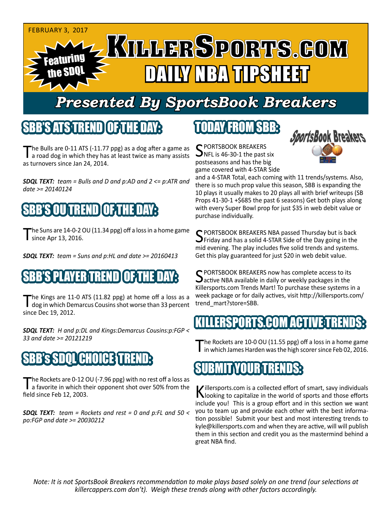

# *Presented By SportsBook Breakers*

#### SBB'S ATSTREN

The Bulls are 0-11 ATS (-11.77 ppg) as a dog after a game as<br>a road dog in which they has at least twice as many assists as turnovers since Jan 24, 2014.

*SDQL TEXT: team = Bulls and D and p:AD and 2 <= p:ATR and date >= 20140124*



The Suns are 14-0-2 OU (11.34 ppg) off a loss in a home game **Since Apr 13, 2016.** 

*SDQL TEXT: team = Suns and p:HL and date >= 20160413*

## SBB'S PLAYER TREND OF THE DAY:

The Kings are 11-0 ATS (11.82 ppg) at home off a loss as a dog in which Demarcus Cousins shot worse than 33 percent since Dec 19, 2012.

*SDQL TEXT: H and p:DL and Kings:Demarcus Cousins:p:FGP < 33 and date >= 20121219*

# SBB's SDQL CHOICE TREND:

The Rockets are 0-12 OU (-7.96 ppg) with no rest off a loss as<br>a favorite in which their opponent shot over 50% from the field since Feb 12, 2003.

*SDQL TEXT: team = Rockets and rest = 0 and p:FL and 50 < po:FGP and date >= 20030212*

## TODAY FROM SBB:

C PORTSBOOK BREAKERS  $\sum$ NFL is 46-30-1 the past six postseasons and has the big game covered with 4-STAR Side



and a 4-STAR Total, each coming with 11 trends/systems. Also, there is so much prop value this season, SBB is expanding the 10 plays it usually makes to 20 plays all with brief writeups (SB Props 41-30-1 +\$685 the past 6 seasons) Get both plays along with every Super Bowl prop for just \$35 in web debit value or purchase individually.

SPORTSBOOK BREAKERS NBA passed Thursday but is back<br>SPFT and has a solid 4-STAR Side of the Day going in the mid evening. The play includes five solid trends and systems. Get this play guaranteed for just \$20 in web debit value.

SPORTSBOOK BREAKERS now has complete access to its<br>active NBA available in daily or weekly packages in the Killersports.com Trends Mart! To purchase these systems in a week package or for daily actives, visit http://killersports.com/ trend\_mart?store=SBB.

#### ERSPORTS.COM ACTIVE TRE

The Rockets are 10-0 OU (11.55 ppg) off a loss in a home game<br>in which James Harden was the high scorer since Feb 02, 2016.

#### SUBMIT YOUR TRENDS:

Killersports.com is a collected effort of smart, savy individuals<br>Nooking to capitalize in the world of sports and those efforts include you! This is a group effort and in this section we want you to team up and provide each other with the best information possible! Submit your best and most interesting trends to kyle@killersports.com and when they are active, will will publish them in this section and credit you as the mastermind behind a great NBA find.

*Note: It is not SportsBook Breakers recommendation to make plays based solely on one trend (our selections at killercappers.com don't). Weigh these trends along with other factors accordingly.*